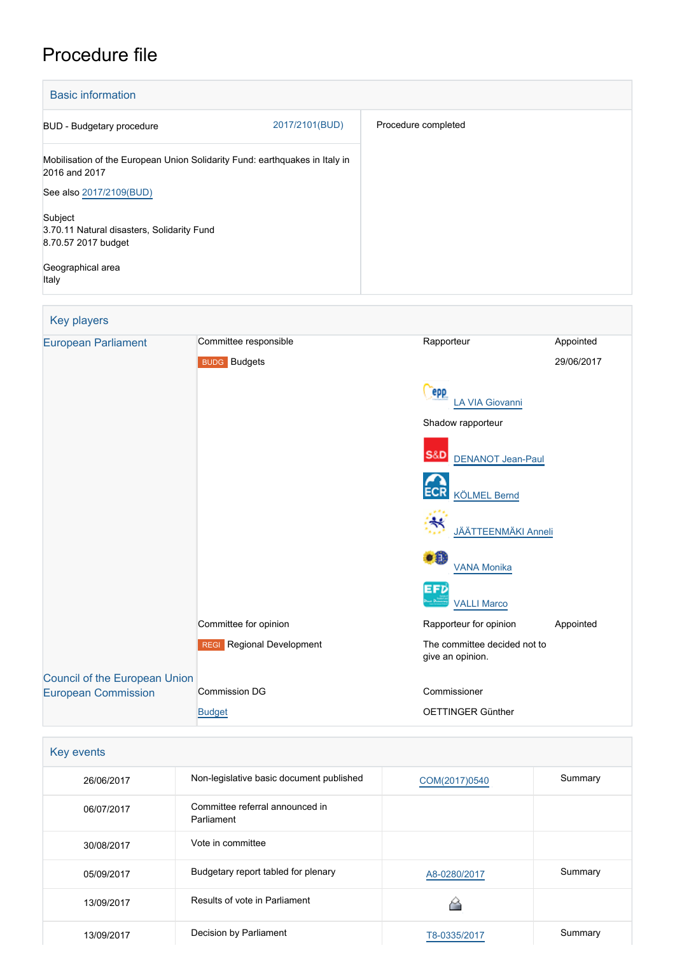# Procedure file

| <b>Basic information</b>                                                                     |                |                     |
|----------------------------------------------------------------------------------------------|----------------|---------------------|
| BUD - Budgetary procedure                                                                    | 2017/2101(BUD) | Procedure completed |
| Mobilisation of the European Union Solidarity Fund: earthquakes in Italy in<br>2016 and 2017 |                |                     |
| See also 2017/2109(BUD)                                                                      |                |                     |
| Subject<br>3.70.11 Natural disasters, Solidarity Fund<br>8.70.57 2017 budget                 |                |                     |
| Geographical area<br>Italy                                                                   |                |                     |

| Key players                          |                           |                                                  |            |
|--------------------------------------|---------------------------|--------------------------------------------------|------------|
| <b>European Parliament</b>           | Committee responsible     | Rapporteur                                       | Appointed  |
|                                      | <b>BUDG</b> Budgets       |                                                  | 29/06/2017 |
|                                      |                           | <b>epp</b><br>A VIA Giovanni                     |            |
|                                      |                           | Shadow rapporteur                                |            |
|                                      |                           | <b>S&amp;D</b><br><b>DENANOT Jean-Paul</b>       |            |
|                                      |                           | <b>ECR</b><br><b>KÖLMEL Bernd</b>                |            |
|                                      |                           | <b>JÄÄTTEENMÄKI Anneli</b>                       |            |
|                                      |                           | $\bullet$<br><b>VANA Monika</b>                  |            |
|                                      |                           | EFD<br><b>VALLI Marco</b>                        |            |
|                                      | Committee for opinion     | Rapporteur for opinion                           | Appointed  |
|                                      | REGI Regional Development | The committee decided not to<br>give an opinion. |            |
| <b>Council of the European Union</b> |                           |                                                  |            |
| <b>European Commission</b>           | <b>Commission DG</b>      | Commissioner                                     |            |
|                                      | <b>Budget</b>             | OETTINGER Günther                                |            |

| Key events |                                               |               |         |
|------------|-----------------------------------------------|---------------|---------|
| 26/06/2017 | Non-legislative basic document published      | COM(2017)0540 | Summary |
| 06/07/2017 | Committee referral announced in<br>Parliament |               |         |
| 30/08/2017 | Vote in committee                             |               |         |
| 05/09/2017 | Budgetary report tabled for plenary           | A8-0280/2017  | Summary |
| 13/09/2017 | Results of vote in Parliament                 | ∼             |         |
| 13/09/2017 | Decision by Parliament                        | T8-0335/2017  | Summary |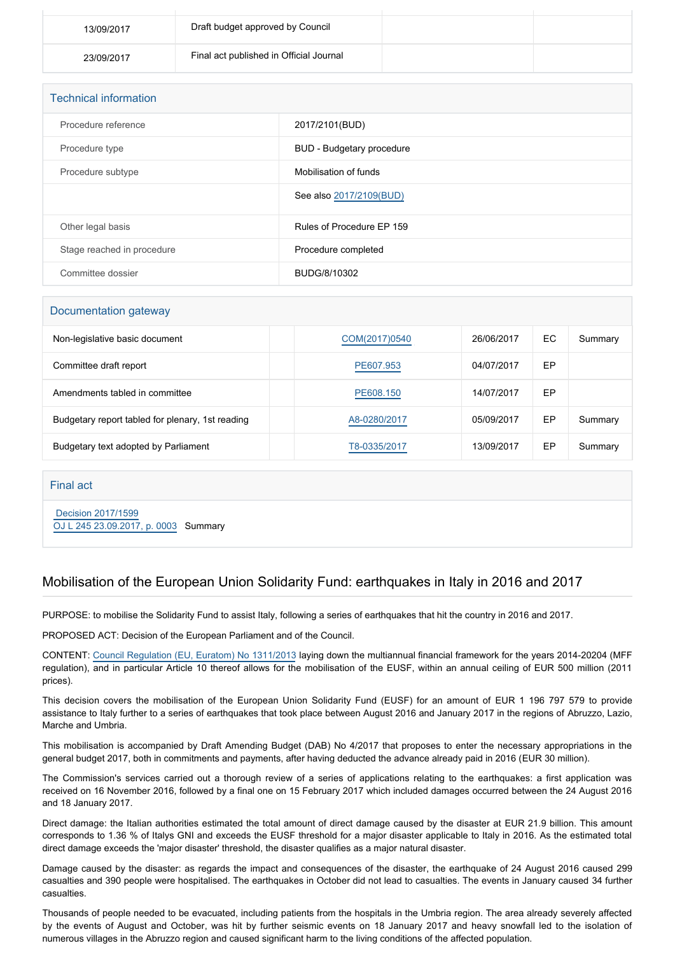| 13/09/2017 | Draft budget approved by Council        |  |
|------------|-----------------------------------------|--|
| 23/09/2017 | Final act published in Official Journal |  |

| <b>Technical information</b> |                           |  |  |
|------------------------------|---------------------------|--|--|
| Procedure reference          | 2017/2101(BUD)            |  |  |
| Procedure type               | BUD - Budgetary procedure |  |  |
| Procedure subtype            | Mobilisation of funds     |  |  |
|                              | See also 2017/2109(BUD)   |  |  |
| Other legal basis            | Rules of Procedure EP 159 |  |  |
| Stage reached in procedure   | Procedure completed       |  |  |
| Committee dossier            | BUDG/8/10302              |  |  |

#### Documentation gateway

| Non-legislative basic document                   | COM(2017)0540 | 26/06/2017 | ЕC | Summary |
|--------------------------------------------------|---------------|------------|----|---------|
| Committee draft report                           | PE607.953     | 04/07/2017 | EP |         |
| Amendments tabled in committee                   | PE608.150     | 14/07/2017 | EP |         |
| Budgetary report tabled for plenary, 1st reading | A8-0280/2017  | 05/09/2017 | EP | Summary |
| Budgetary text adopted by Parliament             | T8-0335/2017  | 13/09/2017 | EP | Summary |

#### Final act

 [Decision 2017/1599](https://eur-lex.europa.eu/smartapi/cgi/sga_doc?smartapi!celexplus!prod!CELEXnumdoc&lg=EN&numdoc=32017D1599) [OJ L 245 23.09.2017, p. 0003](https://eur-lex.europa.eu/legal-content/EN/TXT/?uri=OJ:L:2017:245:TOC) Summary

## Mobilisation of the European Union Solidarity Fund: earthquakes in Italy in 2016 and 2017

PURPOSE: to mobilise the Solidarity Fund to assist Italy, following a series of earthquakes that hit the country in 2016 and 2017.

PROPOSED ACT: Decision of the European Parliament and of the Council.

CONTENT: [Council Regulation \(EU, Euratom\) No 1311/2013](http://www.europarl.europa.eu/oeil/popups/ficheprocedure.do?lang=EN&reference=2011/0177(APP)) laying down the multiannual financial framework for the years 2014-20204 (MFF regulation), and in particular Article 10 thereof allows for the mobilisation of the EUSF, within an annual ceiling of EUR 500 million (2011 prices).

This decision covers the mobilisation of the European Union Solidarity Fund (EUSF) for an amount of EUR 1 196 797 579 to provide assistance to Italy further to a series of earthquakes that took place between August 2016 and January 2017 in the regions of Abruzzo, Lazio, Marche and Umbria.

This mobilisation is accompanied by Draft Amending Budget (DAB) No 4/2017 that proposes to enter the necessary appropriations in the general budget 2017, both in commitments and payments, after having deducted the advance already paid in 2016 (EUR 30 million).

The Commission's services carried out a thorough review of a series of applications relating to the earthquakes: a first application was received on 16 November 2016, followed by a final one on 15 February 2017 which included damages occurred between the 24 August 2016 and 18 January 2017.

Direct damage: the Italian authorities estimated the total amount of direct damage caused by the disaster at EUR 21.9 billion. This amount corresponds to 1.36 % of Italys GNI and exceeds the EUSF threshold for a major disaster applicable to Italy in 2016. As the estimated total direct damage exceeds the 'major disaster' threshold, the disaster qualifies as a major natural disaster.

Damage caused by the disaster: as regards the impact and consequences of the disaster, the earthquake of 24 August 2016 caused 299 casualties and 390 people were hospitalised. The earthquakes in October did not lead to casualties. The events in January caused 34 further casualties.

Thousands of people needed to be evacuated, including patients from the hospitals in the Umbria region. The area already severely affected by the events of August and October, was hit by further seismic events on 18 January 2017 and heavy snowfall led to the isolation of numerous villages in the Abruzzo region and caused significant harm to the living conditions of the affected population.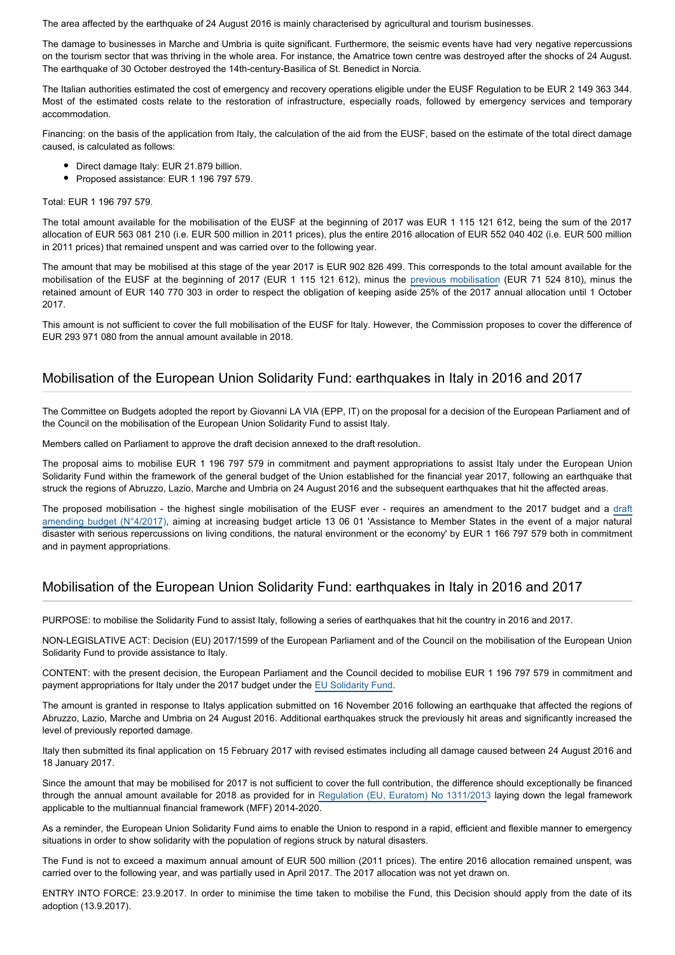The area affected by the earthquake of 24 August 2016 is mainly characterised by agricultural and tourism businesses.

The damage to businesses in Marche and Umbria is quite significant. Furthermore, the seismic events have had very negative repercussions on the tourism sector that was thriving in the whole area. For instance, the Amatrice town centre was destroyed after the shocks of 24 August. The earthquake of 30 October destroyed the 14th-century-Basilica of St. Benedict in Norcia.

The Italian authorities estimated the cost of emergency and recovery operations eligible under the EUSF Regulation to be EUR 2 149 363 344. Most of the estimated costs relate to the restoration of infrastructure, especially roads, followed by emergency services and temporary accommodation.

Financing: on the basis of the application from Italy, the calculation of the aid from the EUSF, based on the estimate of the total direct damage caused, is calculated as follows:

- Direct damage Italy: EUR 21.879 billion.
- Proposed assistance: EUR 1 196 797 579.

#### Total: EUR 1 196 797 579.

The total amount available for the mobilisation of the EUSF at the beginning of 2017 was EUR 1 115 121 612, being the sum of the 2017 allocation of EUR 563 081 210 (i.e. EUR 500 million in 2011 prices), plus the entire 2016 allocation of EUR 552 040 402 (i.e. EUR 500 million in 2011 prices) that remained unspent and was carried over to the following year.

The amount that may be mobilised at this stage of the year 2017 is EUR 902 826 499. This corresponds to the total amount available for the mobilisation of the EUSF at the beginning of 2017 (EUR 1 115 121 612), minus the [previous mobilisation](http://www.europarl.europa.eu/oeil/popups/ficheprocedure.do?reference=2017/2017(BUD)) (EUR 71 524 810), minus the retained amount of EUR 140 770 303 in order to respect the obligation of keeping aside 25% of the 2017 annual allocation until 1 October 2017.

This amount is not sufficient to cover the full mobilisation of the EUSF for Italy. However, the Commission proposes to cover the difference of EUR 293 971 080 from the annual amount available in 2018.

### Mobilisation of the European Union Solidarity Fund: earthquakes in Italy in 2016 and 2017

The Committee on Budgets adopted the report by Giovanni LA VIA (EPP, IT) on the proposal for a decision of the European Parliament and of the Council on the mobilisation of the European Union Solidarity Fund to assist Italy.

Members called on Parliament to approve the draft decision annexed to the draft resolution.

The proposal aims to mobilise EUR 1 196 797 579 in commitment and payment appropriations to assist Italy under the European Union Solidarity Fund within the framework of the general budget of the Union established for the financial year 2017, following an earthquake that struck the regions of Abruzzo, Lazio, Marche and Umbria on 24 August 2016 and the subsequent earthquakes that hit the affected areas.

The proposed mobilisation - the highest single mobilisation of the EUSF ever - requires an amendment to the 2017 budget and a [draft](http://www.europarl.europa.eu/sides/getDoc.do?pubRef=-//EP//TEXT+TA+P8-TA-2017-0336+0+DOC+XML+V0//EN&language=EN) [amending budget \(N°4/2017](http://www.europarl.europa.eu/sides/getDoc.do?pubRef=-//EP//TEXT+TA+P8-TA-2017-0336+0+DOC+XML+V0//EN&language=EN)), aiming at increasing budget article 13 06 01 'Assistance to Member States in the event of a major natural disaster with serious repercussions on living conditions, the natural environment or the economy' by EUR 1 166 797 579 both in commitment and in payment appropriations.

## Mobilisation of the European Union Solidarity Fund: earthquakes in Italy in 2016 and 2017

PURPOSE: to mobilise the Solidarity Fund to assist Italy, following a series of earthquakes that hit the country in 2016 and 2017.

NON-LEGISLATIVE ACT: Decision (EU) 2017/1599 of the European Parliament and of the Council on the mobilisation of the European Union Solidarity Fund to provide assistance to Italy.

CONTENT: with the present decision, the European Parliament and the Council decided to mobilise EUR 1 196 797 579 in commitment and payment appropriations for Italy under the 2017 budget under the [EU Solidarity Fund](http://eur-lex.europa.eu/legal-content/EN/TXT/PDF/?uri=CELEX:02002R2012-20140628&qid=1511519998524&from=EN).

The amount is granted in response to Italys application submitted on 16 November 2016 following an earthquake that affected the regions of Abruzzo, Lazio, Marche and Umbria on 24 August 2016. Additional earthquakes struck the previously hit areas and significantly increased the level of previously reported damage.

Italy then submitted its final application on 15 February 2017 with revised estimates including all damage caused between 24 August 2016 and 18 January 2017.

Since the amount that may be mobilised for 2017 is not sufficient to cover the full contribution, the difference should exceptionally be financed through the annual amount available for 2018 as provided for in [Regulation \(EU, Euratom\) No 1311/2013](http://www.europarl.europa.eu/oeil/popups/ficheprocedure.do?lang=EN&reference=2011/0177(APP)) laying down the legal framework applicable to the multiannual financial framework (MFF) 2014-2020.

As a reminder, the European Union Solidarity Fund aims to enable the Union to respond in a rapid, efficient and flexible manner to emergency situations in order to show solidarity with the population of regions struck by natural disasters.

The Fund is not to exceed a maximum annual amount of EUR 500 million (2011 prices). The entire 2016 allocation remained unspent, was carried over to the following year, and was partially used in April 2017. The 2017 allocation was not yet drawn on.

ENTRY INTO FORCE: 23.9.2017. In order to minimise the time taken to mobilise the Fund, this Decision should apply from the date of its adoption (13.9.2017).